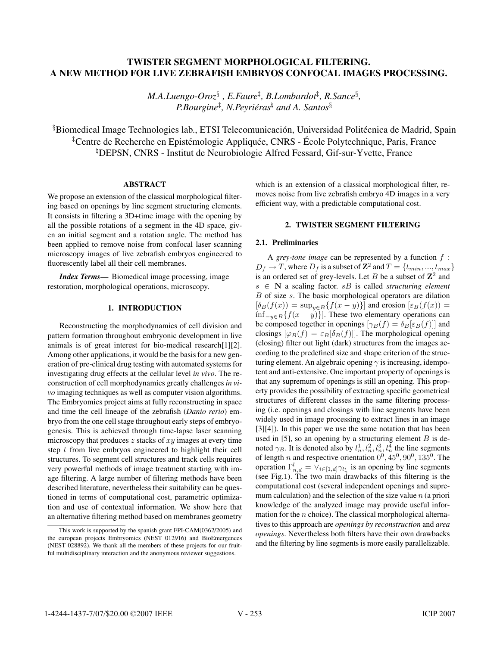# TWISTER SEGMENT MORPHOLOGICAL FILTERING.<br>A NEW METHOD FOR LIVE ZEBRAFISH EMBRYOS CONFOCAL IMAGES PROCESSING. A NEW METHOD FOR LIVE ZEBRAFISH EMBRYOS CONFOCAL IMAGES PROCESSING.

*M.A.Luengo-Oroz*§ *, E.Faure*‡ *, B.Lombardot*‡ *, R.Sance*§ *, P.Bourgine*‡ *, N.Peyrieras ´* - *and A. Santos*§

 $\S$ Biomedical Image Technologies lab., ETSI Telecomunicación, Universidad Politécnica de Madrid, Spain <sup>‡</sup>Centre de Recherche en Epistémologie Appliquée, CNRS - École Polytechnique, Paris, France <sup>h</sup>DEPSN, CNRS - Institut de Neurobiologie Alfred Fessard, Gif-sur-Yvette, France

We propose an extension of the classical morphological filtering based on openings by line segment structuring elements. It consists in filtering a 3D+time image with the opening by all the possible rotations of a segment in the 4D space, given an initial segment and a rotation angle. The method has been applied to remove noise from confocal laser scanning microscopy images of live zebrafish embryos engineered to fluorescently label all their cell membranes.

*Index Terms*— Biomedical image processing, image restoration, morphological operations, microscopy.

#### 1. INTRODUCTION 1. INTRODUCTION

Reconstructing the morphodynamics of cell division and pattern formation throughout embryonic development in live animals is of great interest for bio-medical research[1][2]. Among other applications, it would be the basis for a new generation of pre-clinical drug testing with automated systems for investigating drug effects at the cellular level *in vivo*. The reconstruction of cell morphodynamics greatly challenges *in vivo* imaging techniques as well as computer vision algorithms. The Embryomics project aims at fully reconstructing in space and time the cell lineage of the zebrafish (*Danio rerio*) embryo from the one cell stage throughout early steps of embryogenesis. This is achieved through time-lapse laser scanning microscopy that produces  $z$  stacks of  $xy$  images at every time step t from live embryos engineered to highlight their cell structures. To segment cell structures and track cells requires very powerful methods of image treatment starting with image filtering. A large number of filtering methods have been described literature, nevertheless their suitability can be questioned in terms of computational cost, parametric optimization and use of contextual information. We show here that an alternative filtering method based on membranes geometry which is an extension of a classical morphological filter, removes noise from live zebrafish embryo 4D images in a very efficient way, with a predictable computational cost.

# 2. TWISTER SEGMENT FILTERING

A *grey-tone image* can be represented by a function f :  $D_f \rightarrow T$ , where  $D_f$  is a subset of  $\mathbb{Z}^2$  and  $T = \{t_{min}, ..., t_{max}\}\$ is an ordered set of grey-levels. Let B be a subset of  $\mathbb{Z}^2$  and s ∈ **N** a scaling factor. sB is called *structuring element*  $B$  of size  $s$ . The basic morphological operators are dilation  $[\delta_B(f(x)) = \sup_{y \in B} \{f(x - y)\}]$  and erosion  $[\varepsilon_B(f(x))]$  $inf_{-y∈B} {f(x - y)}$ . These two elementary operations can be composed together in openings  $[\gamma_B(f) = \delta_B[\varepsilon_B(f)]]$  and closings  $[\varphi_B(f) = \varepsilon_B[\delta_B(f)]$ . The morphological opening (closing) filter out light (dark) structures from the images according to the predefined size and shape criterion of the structuring element. An algebraic opening  $\gamma$  is increasing, idempotent and anti-extensive. One important property of openings is that any supremum of openings is still an opening. This property provides the possibility of extracting specific geometrical structures of different classes in the same filtering processing (i.e. openings and closings with line segments have been widely used in image processing to extract lines in an image [3][4]). In this paper we use the same notation that has been used in  $[5]$ , so an opening by a structuring element  $B$  is denoted  $\gamma_B$ . It is denoted also by  $l_n^1, l_n^2, l_n^3, l_n^4$  the line segments of length n and respective orientation  $0^0$ ,  $45^0$ ,  $90^0$ ,  $135^0$ . The operation  $\Gamma^l_{n,d} = \vee_{i \in [1,d]} \gamma_{l_n}$  is an opening by line segments (see Fig.1). The two main drawbacks of this filtering is the computational cost (several independent openings and supremum calculation) and the selection of the size value  $n$  (a priori knowledge of the analyzed image may provide useful information for the  $n$  choice). The classical morphological alternatives to this approach are *openings by reconstruction* and *area openings*. Nevertheless both filters have their own drawbacks and the filtering by line segments is more easily parallelizable.

This work is supported by the spanish grant FPI-CAM(0362/2005) and the european projects Embryomics (NEST 012916) and BioEmergences (NEST 028892). We thank all the members of these projects for our fruitful multidisciplinary interaction and the anonymous reviewer suggestions.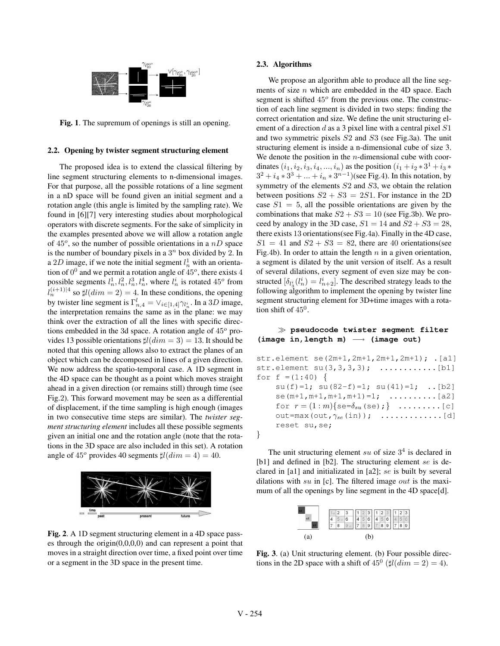

Fig. 1. The supremum of openings is still an opening.

## $2.2 \times 10^{-2}$  opening structuring element structuring structuring structuring structuring structuring structuring structuring structuring structuring structuring structuring structuring structuring structuring structuring

The proposed idea is to extend the classical filtering by line segment structuring elements to n-dimensional images. For that purpose, all the possible rotations of a line segment in a nD space will be found given an initial segment and a rotation angle (this angle is limited by the sampling rate). We found in [6][7] very interesting studies about morphological operators with discrete segments. For the sake of simplicity in the examples presented above we will allow a rotation angle of 45*<sup>o</sup>*, so the number of possible orientations in a nD space is the number of boundary pixels in a  $3^n$  box divided by 2. In a 2D image, if we note the initial segment  $l_n^1$  with an orientation of 0<sup>0</sup> and we permit a rotation angle of 45*<sup>o</sup>*, there exists 4 possible segments  $l_n^1, l_n^2, l_n^3, l_n^4$ , where  $l_n^i$  is rotated 45<sup>*o*</sup> from  $\int_{0}^{\frac{1}{t}(i+1)/4}$  so  $\sharp l(dim = 2) = 4$ . In these conditions, the opening by twister line segment is  $\Gamma^l_{n,4} = \vee_{i \in [1,4]} \gamma_{l^i_n}$ . In a 3D image, the interpretation remains the same as in the plane: we may think over the extraction of all the lines with specific directions embedded in the 3d space. A rotation angle of 45*<sup>o</sup>* provides 13 possible orientations  $\sharp l(dim = 3) = 13$ . It should be noted that this opening allows also to extract the planes of an object which can be decomposed in lines of a given direction. We now address the spatio-temporal case. A 1D segment in the 4D space can be thought as a point which moves straight ahead in a given direction (or remains still) through time (see Fig.2). This forward movement may be seen as a differential of displacement, if the time sampling is high enough (images in two consecutive time steps are similar). The *twister segment structuring element* includes all these possible segments given an initial one and the rotation angle (note that the rotations in the 3D space are also included in this set). A rotation angle of  $45^{\circ}$  provides 40 segments  $\sharp l(dim=4)=40$ .



Fig. 2. A 1D segment structuring element in a 4D space passes through the origin $(0,0,0,0)$  and can represent a point that moves in a straight direction over time, a fixed point over time or a segment in the 3D space in the present time.

### 2.3. Algorithms

We propose an algorithm able to produce all the line segments of size  $n$  which are embedded in the 4D space. Each segment is shifted 45*<sup>o</sup>* from the previous one. The construction of each line segment is divided in two steps: finding the correct orientation and size. We define the unit structuring element of a direction d as a 3 pixel line with a central pixel  $S1$ and two symmetric pixels S2 and S3 (see Fig.3a). The unit structuring element is inside a n-dimensional cube of size 3. We denote the position in the  $n$ -dimensional cube with coordinates  $(i_1, i_2, i_3, i_4, ..., i_n)$  as the position  $(i_1 + i_2 * 3^1 + i_3 *$  $3^2 + i_4 * 3^3 + ... + i_n * 3^{n-1}$ )(see Fig.4). In this notation, by symmetry of the elements  $S2$  and  $S3$ , we obtain the relation between positions  $S2 + S3 = 2S1$ . For instance in the 2D case  $S_1=5$ , all the possible orientations are given by the combinations that make  $S2 + S3 = 10$  (see Fig.3b). We proceed by analogy in the 3D case,  $S1 = 14$  and  $S2 + S3 = 28$ , there exists 13 orientations(see Fig.4a). Finally in the 4D case,  $S1 = 41$  and  $S2 + S3 = 82$ , there are 40 orientations(see Fig.4b). In order to attain the length  $n$  in a given orientation, a segment is dilated by the unit version of itself. As a result of several dilations, every segment of even size may be constructed  $\left[\delta_{l_3} \left(l_n^i\right) = l_{n+2}^i\right]$ . The described strategy leads to the following algorithm to implement the opening by twister line segment structuring element for 3D+time images with a rotation shift of  $45^0$ .

#### **pseudocode twister segment filter (image in,length m)** −→ **(image out)**

| str.element se(2m+1,2m+1,2m+1,2m+1); . [a1]    |
|------------------------------------------------|
| str.element $su(3,3,3,3)$ ;                    |
| for $f = (1:40)$ {                             |
| $su(f)=1$ ; $su(82-f)=1$ ; $su(41)=1$ ; [b2]   |
| se $(m+1, m+1, m+1, m+1) = 1$ ;  [a2]          |
| for $r = (1:m) \{se = \delta_{su}(se); \}$ [c] |
| out=max(out, $\gamma_{se}$ (in)); [d]          |
| reset su, se;                                  |
|                                                |

The unit structuring element su of size  $3<sup>4</sup>$  is declared in [b1] and defined in [b2]. The structuring element se is declared in [a1] and initializated in [a2]; se is built by several dilations with su in [c]. The filtered image out is the maximum of all the openings by line segment in the 4D space[d].



Fig. 3. (a) Unit structuring element. (b) Four possible directions in the 2D space with a shift of  $45^{\circ}$  ( $\sharp$ l $(dim = 2) = 4$ ).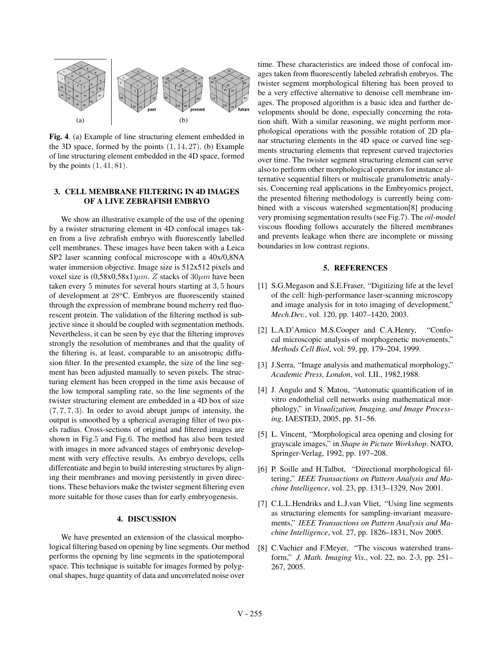

Fig. 4. (a) Example of line structuring element embedded in the 3D space, formed by the points  $(1, 14, 27)$ . (b) Example of line structuring element embedded in the 4D space, formed by the points  $(1, 41, 81)$ .

#### 3. CELL MEMBRANE FILTERING IN 4D IMAGES<br>OF A LIVE ZEBRAFISH EMBRYO OF A LIVE ZEBRAFISH EMBRYO

We show an illustrative example of the use of the opening by a twister structuring element in 4D confocal images taken from a live zebrafish embryo with fluorescently labelled cell membranes. These images have been taken with a Leica SP2 laser scanning confocal microscope with a 40x/0,8NA water immersion objective. Image size is  $512x512$  pixels and voxel size is  $(0,58x0,58x1) \mu m$ . Z stacks of  $30 \mu m$  have been taken every 5 minutes for several hours starting at 3, 5 hours of development at 28*<sup>o</sup>*C. Embryos are fluorescently stained through the expression of membrane bound mcherry red fluorescent protein. The validation of the filtering method is subjective since it should be coupled with segmentation methods. Nevertheless, it can be seen by eye that the filtering improves strongly the resolution of membranes and that the quality of the filtering is, at least, comparable to an anisotropic diffusion filter. In the presented example, the size of the line segment has been adjusted manually to seven pixels. The structuring element has been cropped in the time axis because of the low temporal sampling rate, so the line segments of the twister structuring element are embedded in a 4D box of size  $(7, 7, 7, 3)$ . In order to avoid abrupt jumps of intensity, the output is smoothed by a spherical averaging filter of two pixels radius. Cross-sections of original and filtered images are shown in Fig.5 and Fig.6. The method has also been tested with images in more advanced stages of embryonic development with very effective results. As embryo develops, cells differentiate and begin to build interesting structures by aligning their membranes and moving persistently in given directions. These behaviors make the twister segment filtering even more suitable for those cases than for early embryogenesis.

# $\frac{1}{2}$ .  $\frac{1}{2}$

We have presented an extension of the classical morphological filtering based on opening by line segments. Our method performs the opening by line segments in the spatiotemporal space. This technique is suitable for images formed by polygonal shapes, huge quantity of data and uncorrelated noise over

time. These characteristics are indeed those of confocal images taken from fluorescently labeled zebrafish embryos. The twister segment morphological filtering has been proved to be a very effective alternative to denoise cell membrane images. The proposed algorithm is a basic idea and further developments should be done, especially concerning the rotation shift. With a similar reasoning, we might perform morphological operations with the possible rotation of 2D planar structuring elements in the 4D space or curved line segments structuring elements that represent curved trajectories over time. The twister segment structuring element can serve also to perform other morphological operators for instance alternative sequential filters or multiscale granulometric analysis. Concerning real applications in the Embryomics project, the presented filtering methodology is currently being combined with a viscous watershed segmentation[8] producing very promising segmentation results (see Fig.7). The *oil-model* viscous flooding follows accurately the filtered membranes and prevents leakage when there are incomplete or missing boundaries in low contrast regions.

#### 5. REFERENCES 5. REFERENCES

- [1] S.G.Megason and S.E.Fraser, "Digitizing life at the level of the cell: high-performance laser-scanning microscopy and image analysis for in toto imaging of development," *Mech.Dev.*, vol. 120, pp. 1407–1420, 2003.
- [2] L.A.D'Amico M.S.Cooper and C.A.Henry, "Confocal microscopic analysis of morphogenetic movements," *Methods Cell Biol*, vol. 59, pp. 179–204, 1999.
- [3] J.Serra, "Image analysis and mathematical morphology," *Academic Press, London*, vol. I,II., 1982,1988.
- [4] J. Angulo and S. Matou, "Automatic quantification of in vitro endothelial cell networks using mathematical morphology," in *Visualization, Imaging, and Image Processing*. IAESTED, 2005, pp. 51–56.
- [5] L. Vincent, "Morphological area opening and closing for grayscale images," in *Shape in Picture Workshop*. NATO, Springer-Verlag, 1992, pp. 197–208.
- [6] P. Soille and H.Talbot, "Directional morphological filtering," *IEEE Transactions on Pattern Analysis and Machine Intelligence*, vol. 23, pp. 1313–1329, Nov 2001.
- [7] C.L.L.Hendriks and L.J.van Vliet, "Using line segments as structuring elements for sampling-invariant measurements," *IEEE Transactions on Pattern Analysis and Machine Intelligence*, vol. 27, pp. 1826–1831, Nov 2005.
- [8] C.Vachier and F.Meyer, "The viscous watershed transform," *J. Math. Imaging Vis.*, vol. 22, no. 2-3, pp. 251– 267, 2005.